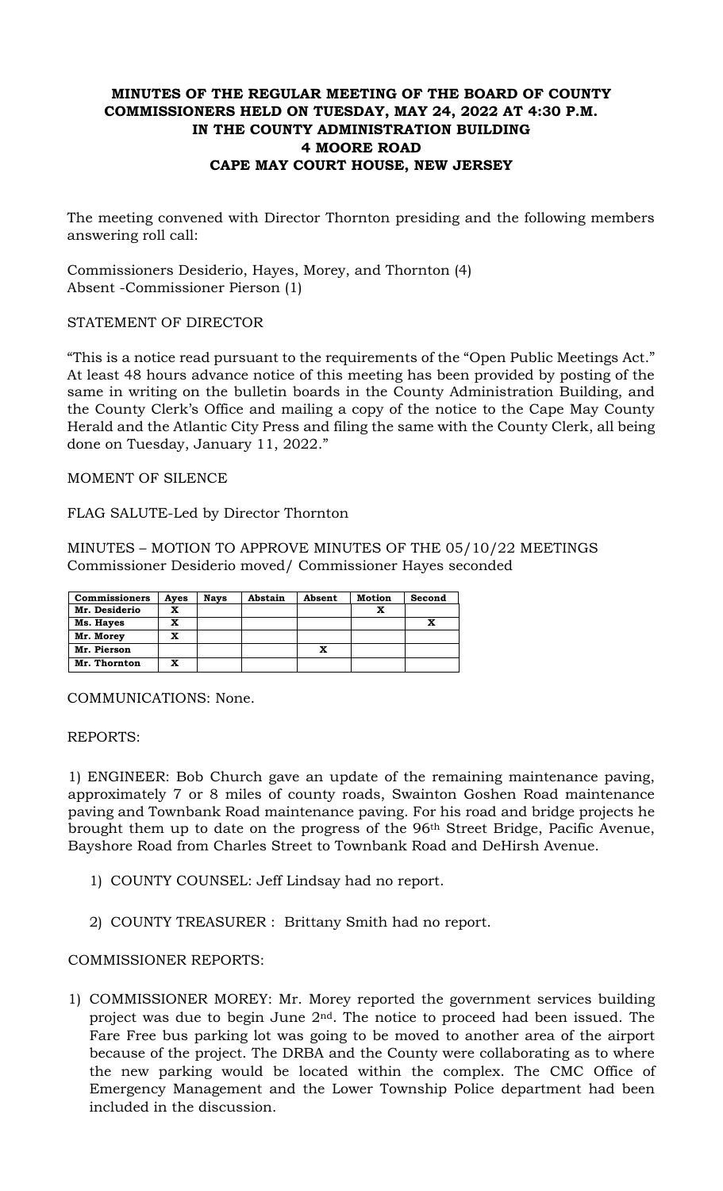# **MINUTES OF THE REGULAR MEETING OF THE BOARD OF COUNTY COMMISSIONERS HELD ON TUESDAY, MAY 24, 2022 AT 4:30 P.M. IN THE COUNTY ADMINISTRATION BUILDING 4 MOORE ROAD CAPE MAY COURT HOUSE, NEW JERSEY**

The meeting convened with Director Thornton presiding and the following members answering roll call:

Commissioners Desiderio, Hayes, Morey, and Thornton (4) Absent -Commissioner Pierson (1)

## STATEMENT OF DIRECTOR

"This is a notice read pursuant to the requirements of the "Open Public Meetings Act." At least 48 hours advance notice of this meeting has been provided by posting of the same in writing on the bulletin boards in the County Administration Building, and the County Clerk's Office and mailing a copy of the notice to the Cape May County Herald and the Atlantic City Press and filing the same with the County Clerk, all being done on Tuesday, January 11, 2022."

MOMENT OF SILENCE

FLAG SALUTE-Led by Director Thornton

MINUTES – MOTION TO APPROVE MINUTES OF THE 05/10/22 MEETINGS Commissioner Desiderio moved/ Commissioner Hayes seconded

| <b>Commissioners</b> | Ayes | <b>Nays</b> | Abstain | Absent | <b>Motion</b> | Second |
|----------------------|------|-------------|---------|--------|---------------|--------|
| Mr. Desiderio        | x    |             |         |        |               |        |
| Ms. Hayes            | x    |             |         |        |               |        |
| Mr. Morey            | x    |             |         |        |               |        |
| Mr. Pierson          |      |             |         | x      |               |        |
| Mr. Thornton         | x    |             |         |        |               |        |

COMMUNICATIONS: None.

REPORTS:

1) ENGINEER: Bob Church gave an update of the remaining maintenance paving, approximately 7 or 8 miles of county roads, Swainton Goshen Road maintenance paving and Townbank Road maintenance paving. For his road and bridge projects he brought them up to date on the progress of the 96th Street Bridge, Pacific Avenue, Bayshore Road from Charles Street to Townbank Road and DeHirsh Avenue.

- 1) COUNTY COUNSEL: Jeff Lindsay had no report.
- 2) COUNTY TREASURER : Brittany Smith had no report.

COMMISSIONER REPORTS:

1) COMMISSIONER MOREY: Mr. Morey reported the government services building project was due to begin June 2nd. The notice to proceed had been issued. The Fare Free bus parking lot was going to be moved to another area of the airport because of the project. The DRBA and the County were collaborating as to where the new parking would be located within the complex. The CMC Office of Emergency Management and the Lower Township Police department had been included in the discussion.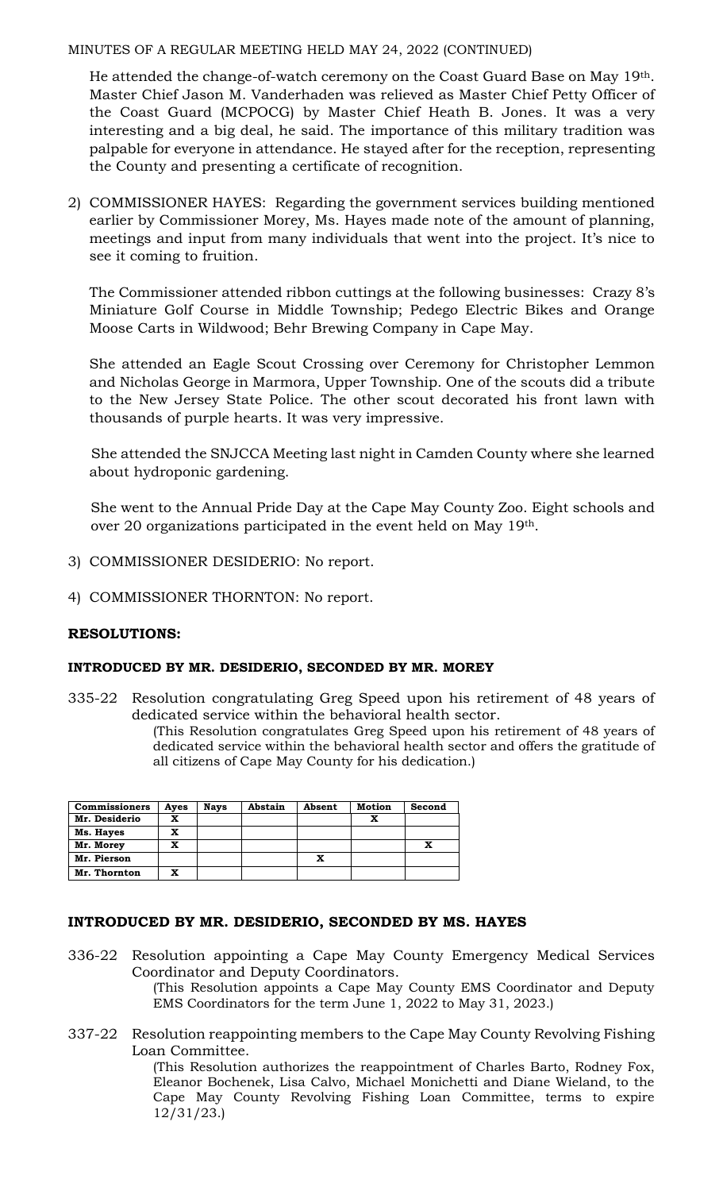He attended the change-of-watch ceremony on the Coast Guard Base on May 19th. Master Chief Jason M. Vanderhaden was relieved as Master Chief Petty Officer of the Coast Guard (MCPOCG) by Master Chief Heath B. Jones. It was a very interesting and a big deal, he said. The importance of this military tradition was palpable for everyone in attendance. He stayed after for the reception, representing the County and presenting a certificate of recognition.

2) COMMISSIONER HAYES: Regarding the government services building mentioned earlier by Commissioner Morey, Ms. Hayes made note of the amount of planning, meetings and input from many individuals that went into the project. It's nice to see it coming to fruition.

The Commissioner attended ribbon cuttings at the following businesses: Crazy 8's Miniature Golf Course in Middle Township; Pedego Electric Bikes and Orange Moose Carts in Wildwood; Behr Brewing Company in Cape May.

She attended an Eagle Scout Crossing over Ceremony for Christopher Lemmon and Nicholas George in Marmora, Upper Township. One of the scouts did a tribute to the New Jersey State Police. The other scout decorated his front lawn with thousands of purple hearts. It was very impressive.

She attended the SNJCCA Meeting last night in Camden County where she learned about hydroponic gardening.

 She went to the Annual Pride Day at the Cape May County Zoo. Eight schools and over 20 organizations participated in the event held on May 19th.

- 3) COMMISSIONER DESIDERIO: No report.
- 4) COMMISSIONER THORNTON: No report.

# **RESOLUTIONS:**

## **INTRODUCED BY MR. DESIDERIO, SECONDED BY MR. MOREY**

335-22 Resolution congratulating Greg Speed upon his retirement of 48 years of dedicated service within the behavioral health sector.

(This Resolution congratulates Greg Speed upon his retirement of 48 years of dedicated service within the behavioral health sector and offers the gratitude of all citizens of Cape May County for his dedication.)

| <b>Commissioners</b> | Ayes | <b>Nays</b> | Abstain | Absent | <b>Motion</b> | Second |
|----------------------|------|-------------|---------|--------|---------------|--------|
| Mr. Desiderio        | x    |             |         |        | x             |        |
| Ms. Hayes            | x    |             |         |        |               |        |
| Mr. Morey            | X    |             |         |        |               |        |
| Mr. Pierson          |      |             |         | x      |               |        |
| Mr. Thornton         | x    |             |         |        |               |        |

## **INTRODUCED BY MR. DESIDERIO, SECONDED BY MS. HAYES**

336-22 Resolution appointing a Cape May County Emergency Medical Services Coordinator and Deputy Coordinators.

(This Resolution appoints a Cape May County EMS Coordinator and Deputy EMS Coordinators for the term June 1, 2022 to May 31, 2023.)

337-22 Resolution reappointing members to the Cape May County Revolving Fishing Loan Committee.

(This Resolution authorizes the reappointment of Charles Barto, Rodney Fox, Eleanor Bochenek, Lisa Calvo, Michael Monichetti and Diane Wieland, to the Cape May County Revolving Fishing Loan Committee, terms to expire 12/31/23.)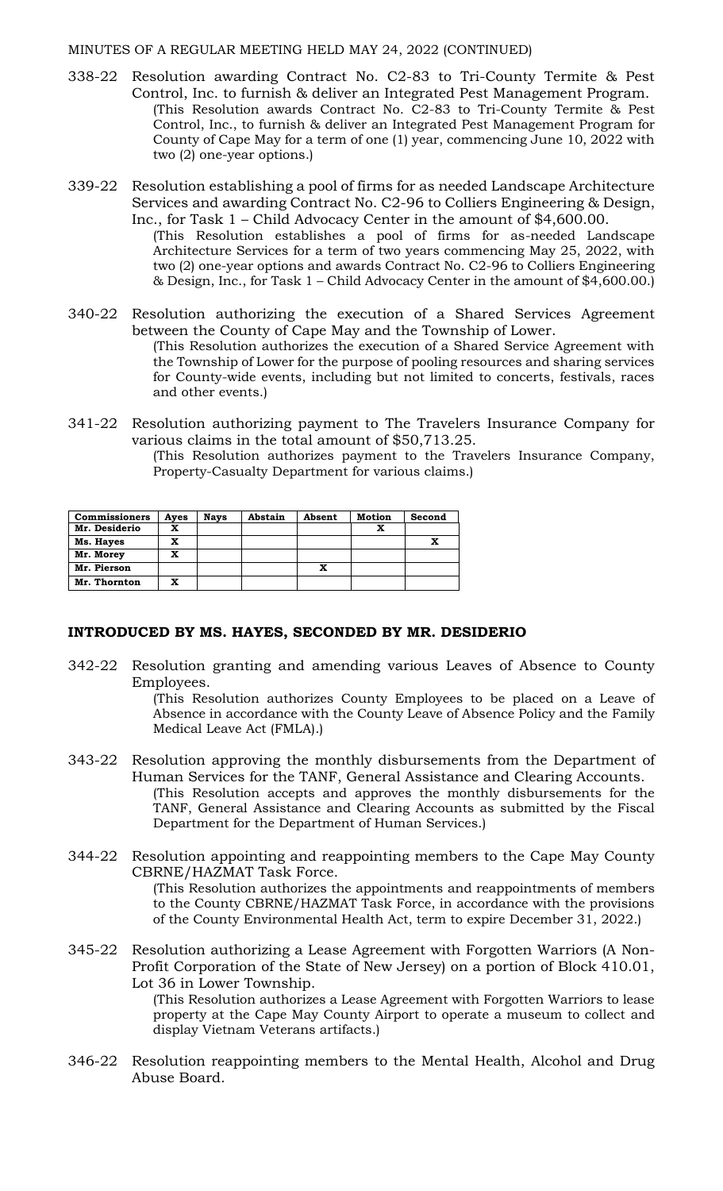- 338-22 Resolution awarding Contract No. C2-83 to Tri-County Termite & Pest Control, Inc. to furnish & deliver an Integrated Pest Management Program. (This Resolution awards Contract No. C2-83 to Tri-County Termite & Pest Control, Inc., to furnish & deliver an Integrated Pest Management Program for County of Cape May for a term of one (1) year, commencing June 10, 2022 with two (2) one-year options.)
- 339-22 Resolution establishing a pool of firms for as needed Landscape Architecture Services and awarding Contract No. C2-96 to Colliers Engineering & Design, Inc., for Task 1 – Child Advocacy Center in the amount of \$4,600.00.

(This Resolution establishes a pool of firms for as-needed Landscape Architecture Services for a term of two years commencing May 25, 2022, with two (2) one-year options and awards Contract No. C2-96 to Colliers Engineering & Design, Inc., for Task 1 – Child Advocacy Center in the amount of \$4,600.00.)

- 340-22 Resolution authorizing the execution of a Shared Services Agreement between the County of Cape May and the Township of Lower. (This Resolution authorizes the execution of a Shared Service Agreement with the Township of Lower for the purpose of pooling resources and sharing services for County-wide events, including but not limited to concerts, festivals, races and other events.)
- 341-22 Resolution authorizing payment to The Travelers Insurance Company for various claims in the total amount of \$50,713.25.

(This Resolution authorizes payment to the Travelers Insurance Company, Property-Casualty Department for various claims.)

| <b>Commissioners</b> | Ayes | <b>Nays</b> | Abstain | Absent | <b>Motion</b> | Second |
|----------------------|------|-------------|---------|--------|---------------|--------|
| Mr. Desiderio        | x    |             |         |        |               |        |
| Ms. Hayes            | x    |             |         |        |               |        |
| Mr. Morey            | x    |             |         |        |               |        |
| Mr. Pierson          |      |             |         | x      |               |        |
| Mr. Thornton         | x    |             |         |        |               |        |

## **INTRODUCED BY MS. HAYES, SECONDED BY MR. DESIDERIO**

342-22 Resolution granting and amending various Leaves of Absence to County Employees.

(This Resolution authorizes County Employees to be placed on a Leave of Absence in accordance with the County Leave of Absence Policy and the Family Medical Leave Act (FMLA).)

- 343-22 Resolution approving the monthly disbursements from the Department of Human Services for the TANF, General Assistance and Clearing Accounts. (This Resolution accepts and approves the monthly disbursements for the TANF, General Assistance and Clearing Accounts as submitted by the Fiscal Department for the Department of Human Services.)
- 344-22 Resolution appointing and reappointing members to the Cape May County CBRNE/HAZMAT Task Force.

(This Resolution authorizes the appointments and reappointments of members to the County CBRNE/HAZMAT Task Force, in accordance with the provisions of the County Environmental Health Act, term to expire December 31, 2022.)

345-22 Resolution authorizing a Lease Agreement with Forgotten Warriors (A Non-Profit Corporation of the State of New Jersey) on a portion of Block 410.01, Lot 36 in Lower Township.

(This Resolution authorizes a Lease Agreement with Forgotten Warriors to lease property at the Cape May County Airport to operate a museum to collect and display Vietnam Veterans artifacts.)

346-22 Resolution reappointing members to the Mental Health, Alcohol and Drug Abuse Board.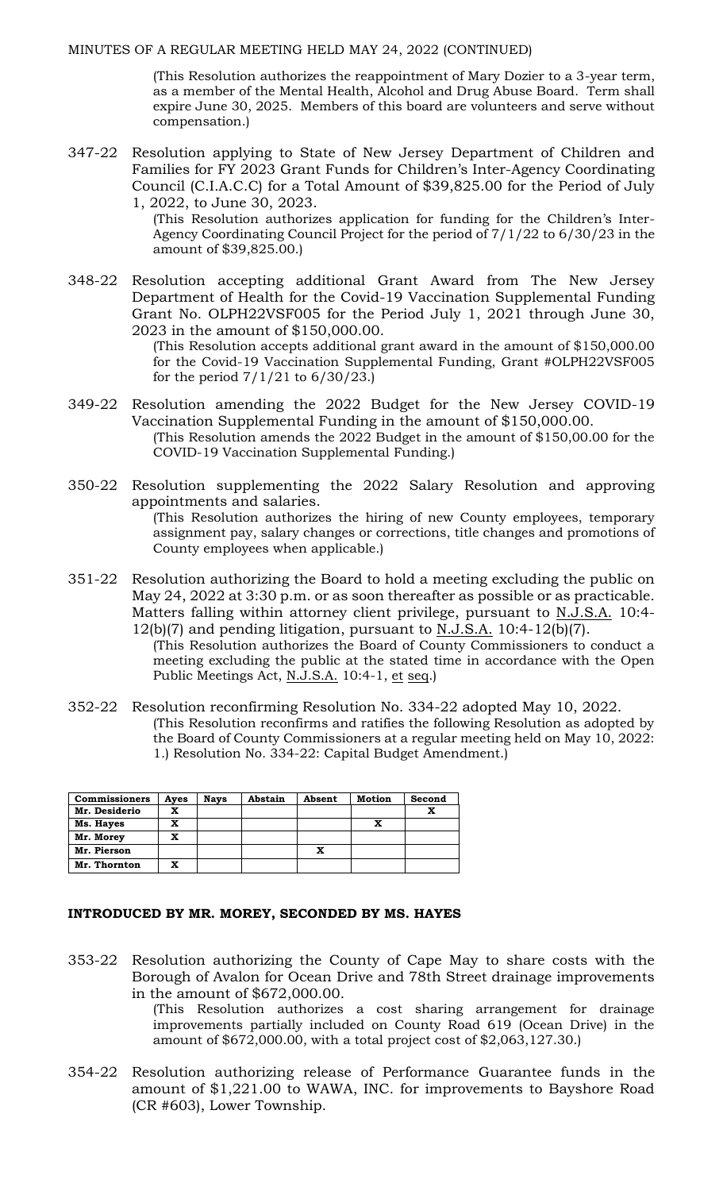(This Resolution authorizes the reappointment of Mary Dozier to a 3-year term, as a member of the Mental Health, Alcohol and Drug Abuse Board. Term shall expire June 30, 2025. Members of this board are volunteers and serve without compensation.)

347-22 Resolution applying to State of New Jersey Department of Children and Families for FY 2023 Grant Funds for Children's Inter-Agency Coordinating Council (C.I.A.C.C) for a Total Amount of \$39,825.00 for the Period of July 1, 2022, to June 30, 2023.

> (This Resolution authorizes application for funding for the Children's Inter-Agency Coordinating Council Project for the period of 7/1/22 to 6/30/23 in the amount of \$39,825.00.)

348-22 Resolution accepting additional Grant Award from The New Jersey Department of Health for the Covid-19 Vaccination Supplemental Funding Grant No. OLPH22VSF005 for the Period July 1, 2021 through June 30, 2023 in the amount of \$150,000.00.

> (This Resolution accepts additional grant award in the amount of \$150,000.00 for the Covid-19 Vaccination Supplemental Funding, Grant #OLPH22VSF005 for the period 7/1/21 to 6/30/23.)

- 349-22 Resolution amending the 2022 Budget for the New Jersey COVID-19 Vaccination Supplemental Funding in the amount of \$150,000.00. (This Resolution amends the 2022 Budget in the amount of \$150,00.00 for the COVID-19 Vaccination Supplemental Funding.)
- 350-22 Resolution supplementing the 2022 Salary Resolution and approving appointments and salaries. (This Resolution authorizes the hiring of new County employees, temporary assignment pay, salary changes or corrections, title changes and promotions of County employees when applicable.)
- 351-22 Resolution authorizing the Board to hold a meeting excluding the public on May 24, 2022 at 3:30 p.m. or as soon thereafter as possible or as practicable. Matters falling within attorney client privilege, pursuant to N.J.S.A. 10:4- $12(b)(7)$  and pending litigation, pursuant to N.J.S.A. 10:4-12(b)(7).
	- (This Resolution authorizes the Board of County Commissioners to conduct a meeting excluding the public at the stated time in accordance with the Open Public Meetings Act, N.J.S.A. 10:4-1, et seq.)
- 352-22 Resolution reconfirming Resolution No. 334-22 adopted May 10, 2022. (This Resolution reconfirms and ratifies the following Resolution as adopted by the Board of County Commissioners at a regular meeting held on May 10, 2022: 1.) Resolution No. 334-22: Capital Budget Amendment.)

| <b>Commissioners</b> | Ayes | <b>Nays</b> | Abstain | Absent | Motion | Second |
|----------------------|------|-------------|---------|--------|--------|--------|
| Mr. Desiderio        | x    |             |         |        |        |        |
| Ms. Hayes            | x    |             |         |        |        |        |
| Mr. Morey            | x    |             |         |        |        |        |
| Mr. Pierson          |      |             |         | x      |        |        |
| Mr. Thornton         | x    |             |         |        |        |        |

## **INTRODUCED BY MR. MOREY, SECONDED BY MS. HAYES**

353-22 Resolution authorizing the County of Cape May to share costs with the Borough of Avalon for Ocean Drive and 78th Street drainage improvements in the amount of \$672,000.00.

> (This Resolution authorizes a cost sharing arrangement for drainage improvements partially included on County Road 619 (Ocean Drive) in the amount of \$672,000.00, with a total project cost of \$2,063,127.30.)

354-22 Resolution authorizing release of Performance Guarantee funds in the amount of \$1,221.00 to WAWA, INC. for improvements to Bayshore Road (CR #603), Lower Township.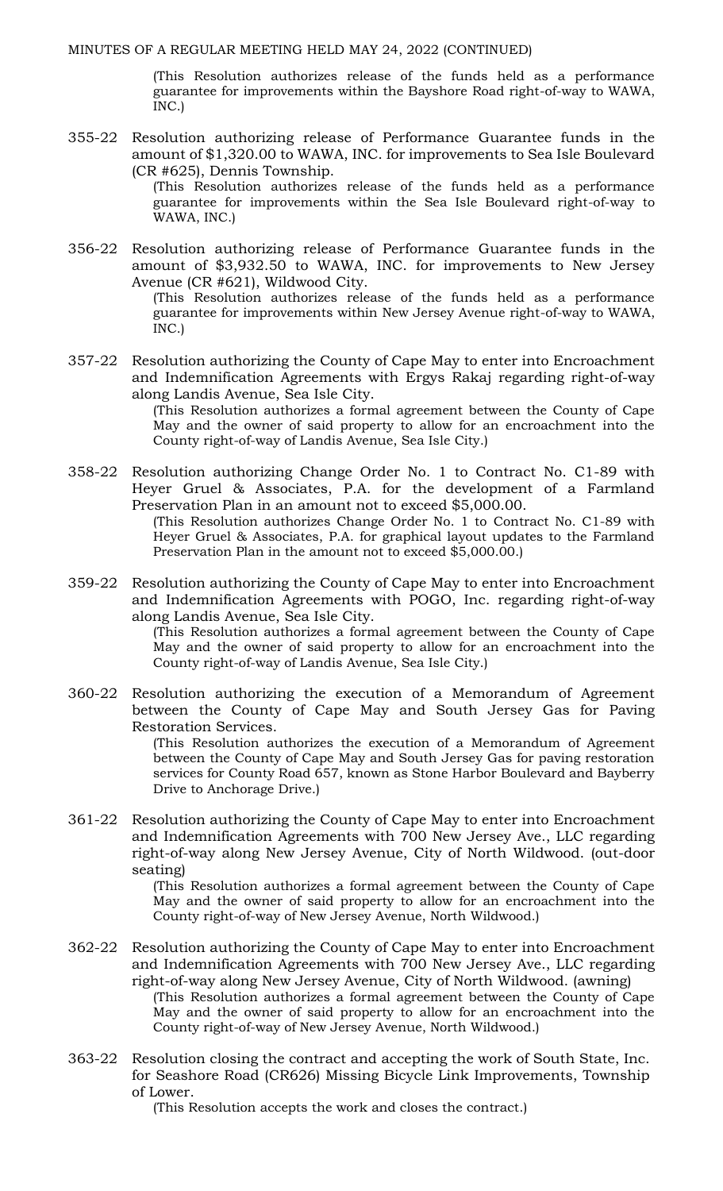(This Resolution authorizes release of the funds held as a performance guarantee for improvements within the Bayshore Road right-of-way to WAWA, INC.)

355-22 Resolution authorizing release of Performance Guarantee funds in the amount of \$1,320.00 to WAWA, INC. for improvements to Sea Isle Boulevard (CR #625), Dennis Township.

> (This Resolution authorizes release of the funds held as a performance guarantee for improvements within the Sea Isle Boulevard right-of-way to WAWA, INC.)

356-22 Resolution authorizing release of Performance Guarantee funds in the amount of \$3,932.50 to WAWA, INC. for improvements to New Jersey Avenue (CR #621), Wildwood City.

> (This Resolution authorizes release of the funds held as a performance guarantee for improvements within New Jersey Avenue right-of-way to WAWA, INC.)

357-22 Resolution authorizing the County of Cape May to enter into Encroachment and Indemnification Agreements with Ergys Rakaj regarding right-of-way along Landis Avenue, Sea Isle City.

(This Resolution authorizes a formal agreement between the County of Cape May and the owner of said property to allow for an encroachment into the County right-of-way of Landis Avenue, Sea Isle City.)

358-22 Resolution authorizing Change Order No. 1 to Contract No. C1-89 with Heyer Gruel & Associates, P.A. for the development of a Farmland Preservation Plan in an amount not to exceed \$5,000.00.

(This Resolution authorizes Change Order No. 1 to Contract No. C1-89 with Heyer Gruel & Associates, P.A. for graphical layout updates to the Farmland Preservation Plan in the amount not to exceed \$5,000.00.)

359-22 Resolution authorizing the County of Cape May to enter into Encroachment and Indemnification Agreements with POGO, Inc. regarding right-of-way along Landis Avenue, Sea Isle City.

> (This Resolution authorizes a formal agreement between the County of Cape May and the owner of said property to allow for an encroachment into the County right-of-way of Landis Avenue, Sea Isle City.)

360-22 Resolution authorizing the execution of a Memorandum of Agreement between the County of Cape May and South Jersey Gas for Paving Restoration Services.

> (This Resolution authorizes the execution of a Memorandum of Agreement between the County of Cape May and South Jersey Gas for paving restoration services for County Road 657, known as Stone Harbor Boulevard and Bayberry Drive to Anchorage Drive.)

361-22 Resolution authorizing the County of Cape May to enter into Encroachment and Indemnification Agreements with 700 New Jersey Ave., LLC regarding right-of-way along New Jersey Avenue, City of North Wildwood. (out-door seating)

(This Resolution authorizes a formal agreement between the County of Cape May and the owner of said property to allow for an encroachment into the County right-of-way of New Jersey Avenue, North Wildwood.)

- 362-22 Resolution authorizing the County of Cape May to enter into Encroachment and Indemnification Agreements with 700 New Jersey Ave., LLC regarding right-of-way along New Jersey Avenue, City of North Wildwood. (awning) (This Resolution authorizes a formal agreement between the County of Cape May and the owner of said property to allow for an encroachment into the County right-of-way of New Jersey Avenue, North Wildwood.)
- 363-22 Resolution closing the contract and accepting the work of South State, Inc. for Seashore Road (CR626) Missing Bicycle Link Improvements, Township of Lower.

(This Resolution accepts the work and closes the contract.)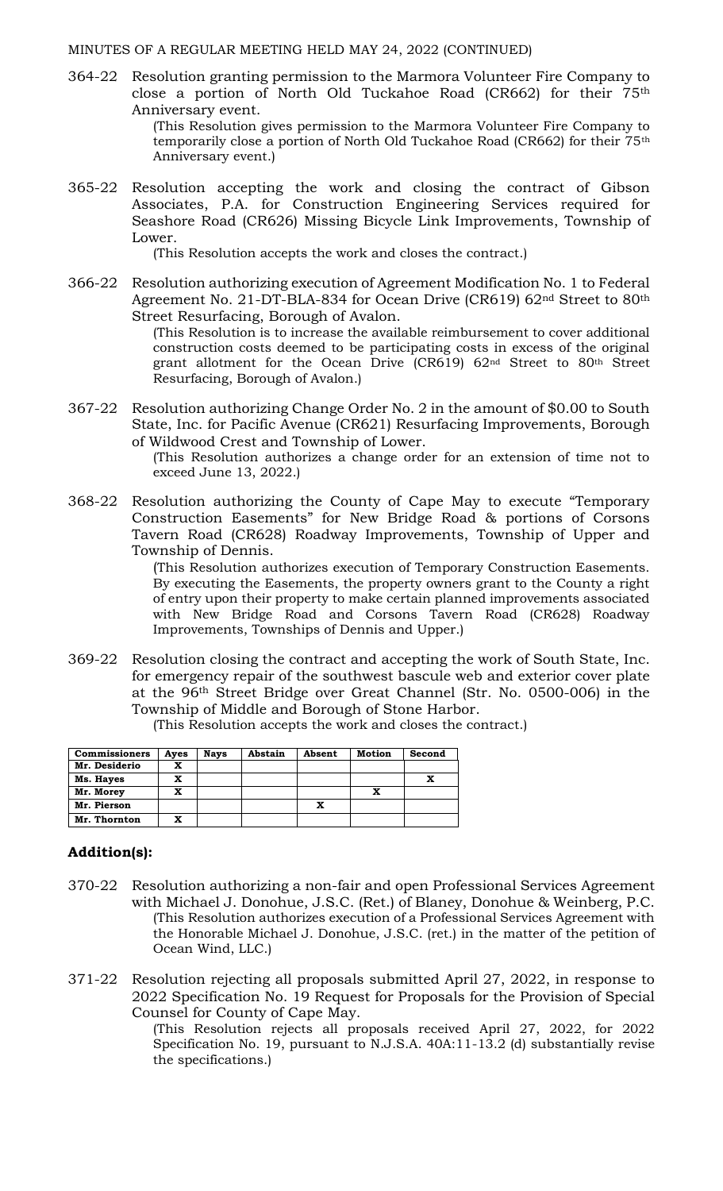364-22 Resolution granting permission to the Marmora Volunteer Fire Company to close a portion of North Old Tuckahoe Road (CR662) for their 75th Anniversary event.

(This Resolution gives permission to the Marmora Volunteer Fire Company to temporarily close a portion of North Old Tuckahoe Road (CR662) for their 75th Anniversary event.)

365-22 Resolution accepting the work and closing the contract of Gibson Associates, P.A. for Construction Engineering Services required for Seashore Road (CR626) Missing Bicycle Link Improvements, Township of Lower.

(This Resolution accepts the work and closes the contract.)

366-22 Resolution authorizing execution of Agreement Modification No. 1 to Federal Agreement No. 21-DT-BLA-834 for Ocean Drive (CR619) 62nd Street to 80th Street Resurfacing, Borough of Avalon.

(This Resolution is to increase the available reimbursement to cover additional construction costs deemed to be participating costs in excess of the original grant allotment for the Ocean Drive (CR619) 62nd Street to 80th Street Resurfacing, Borough of Avalon.)

- 367-22 Resolution authorizing Change Order No. 2 in the amount of \$0.00 to South State, Inc. for Pacific Avenue (CR621) Resurfacing Improvements, Borough of Wildwood Crest and Township of Lower.
	- (This Resolution authorizes a change order for an extension of time not to exceed June 13, 2022.)
- 368-22 Resolution authorizing the County of Cape May to execute "Temporary Construction Easements" for New Bridge Road & portions of Corsons Tavern Road (CR628) Roadway Improvements, Township of Upper and Township of Dennis.

(This Resolution authorizes execution of Temporary Construction Easements. By executing the Easements, the property owners grant to the County a right of entry upon their property to make certain planned improvements associated with New Bridge Road and Corsons Tavern Road (CR628) Roadway Improvements, Townships of Dennis and Upper.)

369-22 Resolution closing the contract and accepting the work of South State, Inc. for emergency repair of the southwest bascule web and exterior cover plate at the 96th Street Bridge over Great Channel (Str. No. 0500-006) in the Township of Middle and Borough of Stone Harbor.

| (This Resolution accepts the work and closes the contract.) |  |  |  |  |  |  |  |
|-------------------------------------------------------------|--|--|--|--|--|--|--|
|-------------------------------------------------------------|--|--|--|--|--|--|--|

| <b>Commissioners</b> | Ayes | <b>Nays</b> | Abstain | Absent | Motion | Second |
|----------------------|------|-------------|---------|--------|--------|--------|
| Mr. Desiderio        |      |             |         |        |        |        |
| Ms. Hayes            |      |             |         |        |        |        |
| Mr. Morey            |      |             |         |        |        |        |
| Mr. Pierson          |      |             |         | x      |        |        |
| Mr. Thornton         |      |             |         |        |        |        |

## **Addition(s):**

- 370-22 Resolution authorizing a non-fair and open Professional Services Agreement with Michael J. Donohue, J.S.C. (Ret.) of Blaney, Donohue & Weinberg, P.C. (This Resolution authorizes execution of a Professional Services Agreement with the Honorable Michael J. Donohue, J.S.C. (ret.) in the matter of the petition of Ocean Wind, LLC.)
- 371-22 Resolution rejecting all proposals submitted April 27, 2022, in response to 2022 Specification No. 19 Request for Proposals for the Provision of Special Counsel for County of Cape May.

(This Resolution rejects all proposals received April 27, 2022, for 2022 Specification No. 19, pursuant to N.J.S.A. 40A:11-13.2 (d) substantially revise the specifications.)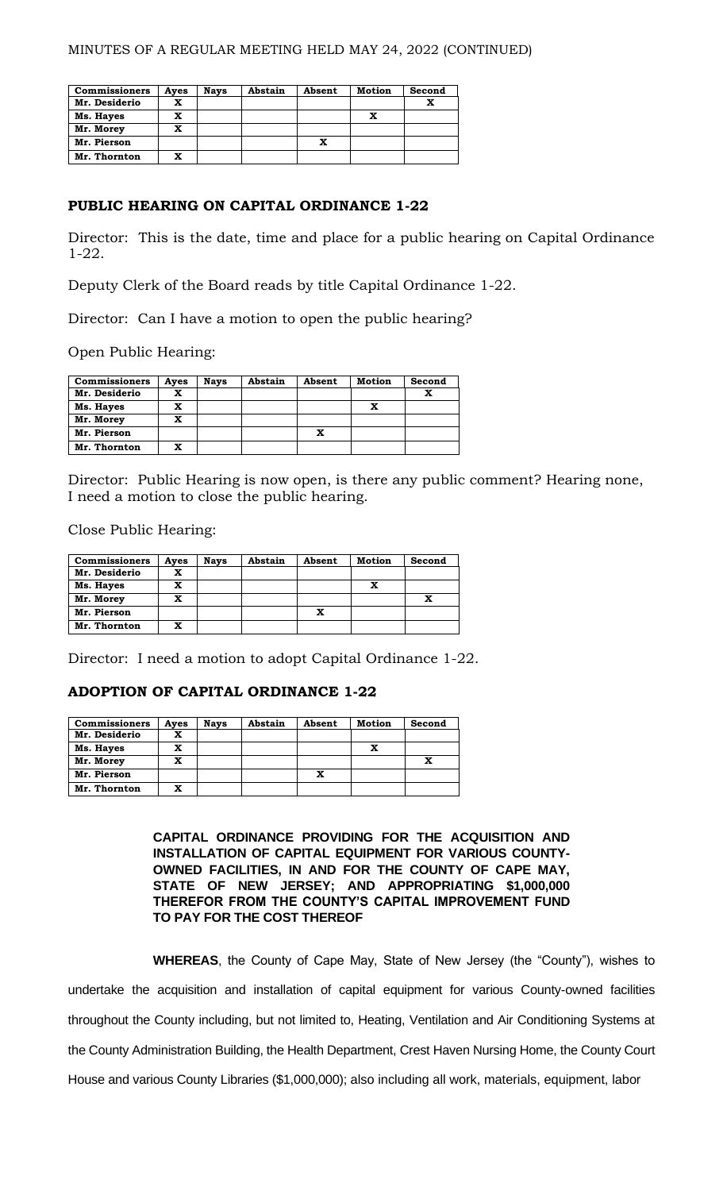| <b>Commissioners</b> | Ayes | <b>Nays</b> | Abstain | Absent | <b>Motion</b> | Second |
|----------------------|------|-------------|---------|--------|---------------|--------|
| Mr. Desiderio        |      |             |         |        |               |        |
| Ms. Hayes            | x    |             |         |        | x             |        |
| Mr. Morey            |      |             |         |        |               |        |
| Mr. Pierson          |      |             |         | x      |               |        |
| Mr. Thornton         | x    |             |         |        |               |        |

## **PUBLIC HEARING ON CAPITAL ORDINANCE 1-22**

Director: This is the date, time and place for a public hearing on Capital Ordinance 1-22.

Deputy Clerk of the Board reads by title Capital Ordinance 1-22.

Director: Can I have a motion to open the public hearing?

Open Public Hearing:

| <b>Commissioners</b> | Ayes | <b>Nays</b> | Abstain | Absent | Motion | Second |
|----------------------|------|-------------|---------|--------|--------|--------|
| Mr. Desiderio        |      |             |         |        |        | x      |
| Ms. Hayes            |      |             |         |        | x      |        |
| Mr. Morey            |      |             |         |        |        |        |
| Mr. Pierson          |      |             |         |        |        |        |
| Mr. Thornton         |      |             |         |        |        |        |

Director: Public Hearing is now open, is there any public comment? Hearing none, I need a motion to close the public hearing.

Close Public Hearing:

| <b>Commissioners</b> | Aves | <b>Nays</b> | Abstain | Absent | <b>Motion</b> | Second |
|----------------------|------|-------------|---------|--------|---------------|--------|
| Mr. Desiderio        |      |             |         |        |               |        |
| Ms. Hayes            |      |             |         |        | x             |        |
| Mr. Morey            |      |             |         |        |               | x      |
| Mr. Pierson          |      |             |         |        |               |        |
| Mr. Thornton         |      |             |         |        |               |        |

Director: I need a motion to adopt Capital Ordinance 1-22.

## **ADOPTION OF CAPITAL ORDINANCE 1-22**

| <b>Commissioners</b> | Ayes | <b>Nays</b> | Abstain | Absent | <b>Motion</b> | Second |
|----------------------|------|-------------|---------|--------|---------------|--------|
| Mr. Desiderio        |      |             |         |        |               |        |
| Ms. Hayes            | X    |             |         |        | x             |        |
| Mr. Morey            | x    |             |         |        |               | x      |
| Mr. Pierson          |      |             |         | x      |               |        |
| Mr. Thornton         |      |             |         |        |               |        |

**CAPITAL ORDINANCE PROVIDING FOR THE ACQUISITION AND INSTALLATION OF CAPITAL EQUIPMENT FOR VARIOUS COUNTY-OWNED FACILITIES, IN AND FOR THE COUNTY OF CAPE MAY, STATE OF NEW JERSEY; AND APPROPRIATING \$1,000,000 THEREFOR FROM THE COUNTY'S CAPITAL IMPROVEMENT FUND TO PAY FOR THE COST THEREOF**

**WHEREAS**, the County of Cape May, State of New Jersey (the "County"), wishes to undertake the acquisition and installation of capital equipment for various County-owned facilities throughout the County including, but not limited to, Heating, Ventilation and Air Conditioning Systems at the County Administration Building, the Health Department, Crest Haven Nursing Home, the County Court House and various County Libraries (\$1,000,000); also including all work, materials, equipment, labor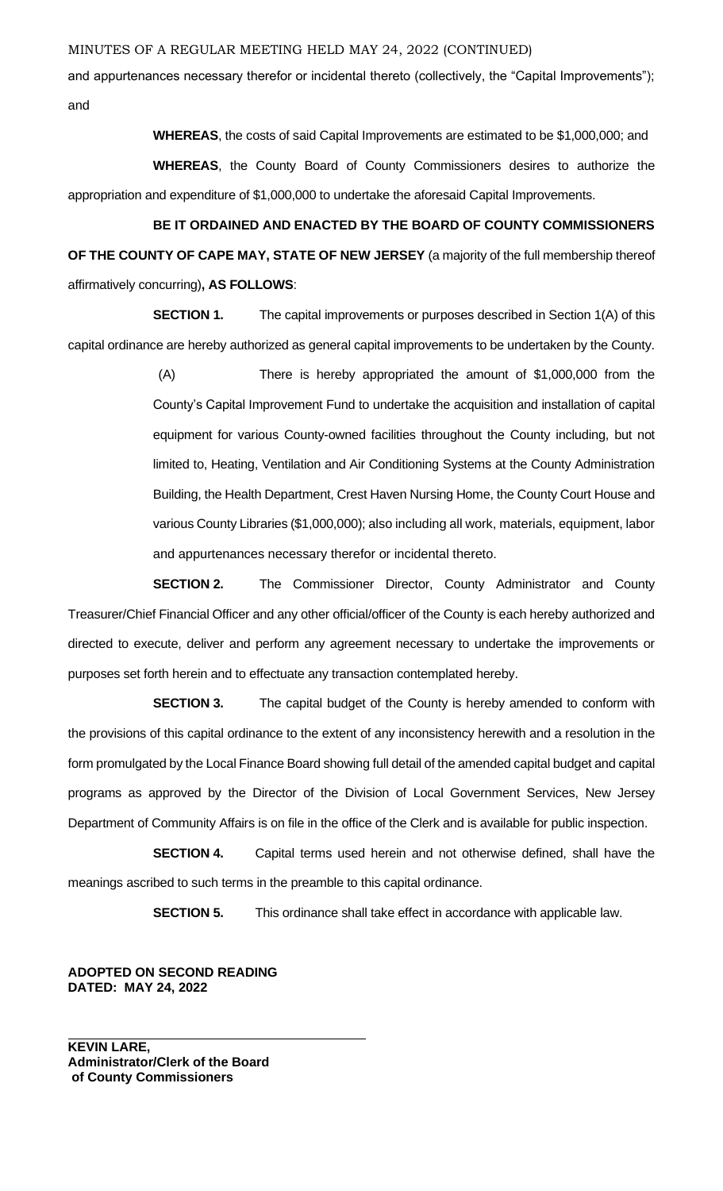and appurtenances necessary therefor or incidental thereto (collectively, the "Capital Improvements"); and

**WHEREAS**, the costs of said Capital Improvements are estimated to be \$1,000,000; and

**WHEREAS**, the County Board of County Commissioners desires to authorize the appropriation and expenditure of \$1,000,000 to undertake the aforesaid Capital Improvements.

# **BE IT ORDAINED AND ENACTED BY THE BOARD OF COUNTY COMMISSIONERS OF THE COUNTY OF CAPE MAY, STATE OF NEW JERSEY** (a majority of the full membership thereof affirmatively concurring)**, AS FOLLOWS**:

**SECTION 1.** The capital improvements or purposes described in Section 1(A) of this capital ordinance are hereby authorized as general capital improvements to be undertaken by the County.

> (A) There is hereby appropriated the amount of \$1,000,000 from the County's Capital Improvement Fund to undertake the acquisition and installation of capital equipment for various County-owned facilities throughout the County including, but not limited to, Heating, Ventilation and Air Conditioning Systems at the County Administration Building, the Health Department, Crest Haven Nursing Home, the County Court House and various County Libraries (\$1,000,000); also including all work, materials, equipment, labor and appurtenances necessary therefor or incidental thereto.

**SECTION 2.** The Commissioner Director, County Administrator and County Treasurer/Chief Financial Officer and any other official/officer of the County is each hereby authorized and directed to execute, deliver and perform any agreement necessary to undertake the improvements or purposes set forth herein and to effectuate any transaction contemplated hereby.

**SECTION 3.** The capital budget of the County is hereby amended to conform with the provisions of this capital ordinance to the extent of any inconsistency herewith and a resolution in the form promulgated by the Local Finance Board showing full detail of the amended capital budget and capital programs as approved by the Director of the Division of Local Government Services, New Jersey Department of Community Affairs is on file in the office of the Clerk and is available for public inspection.

**SECTION 4.** Capital terms used herein and not otherwise defined, shall have the meanings ascribed to such terms in the preamble to this capital ordinance.

**SECTION 5.** This ordinance shall take effect in accordance with applicable law.

**ADOPTED ON SECOND READING DATED: MAY 24, 2022**

**KEVIN LARE, Administrator/Clerk of the Board of County Commissioners**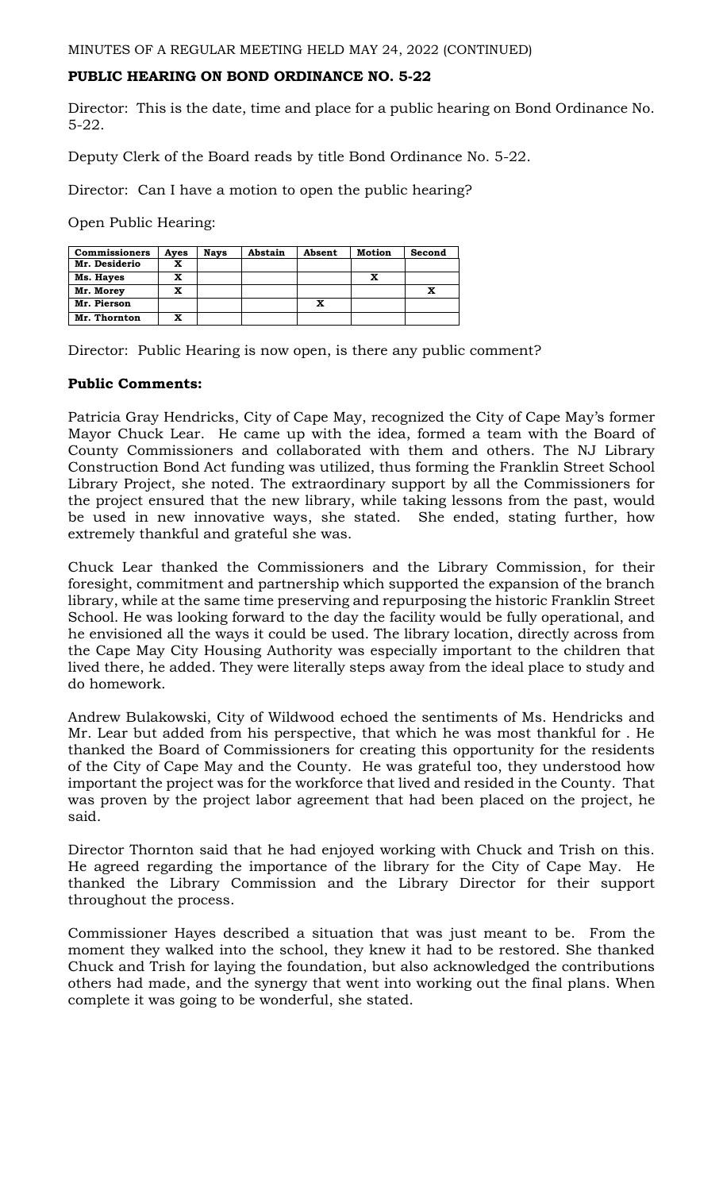# **PUBLIC HEARING ON BOND ORDINANCE NO. 5-22**

Director: This is the date, time and place for a public hearing on Bond Ordinance No. 5-22.

Deputy Clerk of the Board reads by title Bond Ordinance No. 5-22.

Director: Can I have a motion to open the public hearing?

Open Public Hearing:

| <b>Commissioners</b> | Ayes | <b>Nays</b> | Abstain | Absent | <b>Motion</b> | Second |
|----------------------|------|-------------|---------|--------|---------------|--------|
| Mr. Desiderio        |      |             |         |        |               |        |
| Ms. Hayes            |      |             |         |        | x             |        |
| Mr. Morey            | v    |             |         |        |               |        |
| Mr. Pierson          |      |             |         | x      |               |        |
| Mr. Thornton         |      |             |         |        |               |        |

Director: Public Hearing is now open, is there any public comment?

## **Public Comments:**

Patricia Gray Hendricks, City of Cape May, recognized the City of Cape May's former Mayor Chuck Lear. He came up with the idea, formed a team with the Board of County Commissioners and collaborated with them and others. The NJ Library Construction Bond Act funding was utilized, thus forming the Franklin Street School Library Project, she noted. The extraordinary support by all the Commissioners for the project ensured that the new library, while taking lessons from the past, would be used in new innovative ways, she stated. She ended, stating further, how extremely thankful and grateful she was.

Chuck Lear thanked the Commissioners and the Library Commission, for their foresight, commitment and partnership which supported the expansion of the branch library, while at the same time preserving and repurposing the historic Franklin Street School. He was looking forward to the day the facility would be fully operational, and he envisioned all the ways it could be used. The library location, directly across from the Cape May City Housing Authority was especially important to the children that lived there, he added. They were literally steps away from the ideal place to study and do homework.

Andrew Bulakowski, City of Wildwood echoed the sentiments of Ms. Hendricks and Mr. Lear but added from his perspective, that which he was most thankful for . He thanked the Board of Commissioners for creating this opportunity for the residents of the City of Cape May and the County. He was grateful too, they understood how important the project was for the workforce that lived and resided in the County. That was proven by the project labor agreement that had been placed on the project, he said.

Director Thornton said that he had enjoyed working with Chuck and Trish on this. He agreed regarding the importance of the library for the City of Cape May. He thanked the Library Commission and the Library Director for their support throughout the process.

Commissioner Hayes described a situation that was just meant to be. From the moment they walked into the school, they knew it had to be restored. She thanked Chuck and Trish for laying the foundation, but also acknowledged the contributions others had made, and the synergy that went into working out the final plans. When complete it was going to be wonderful, she stated.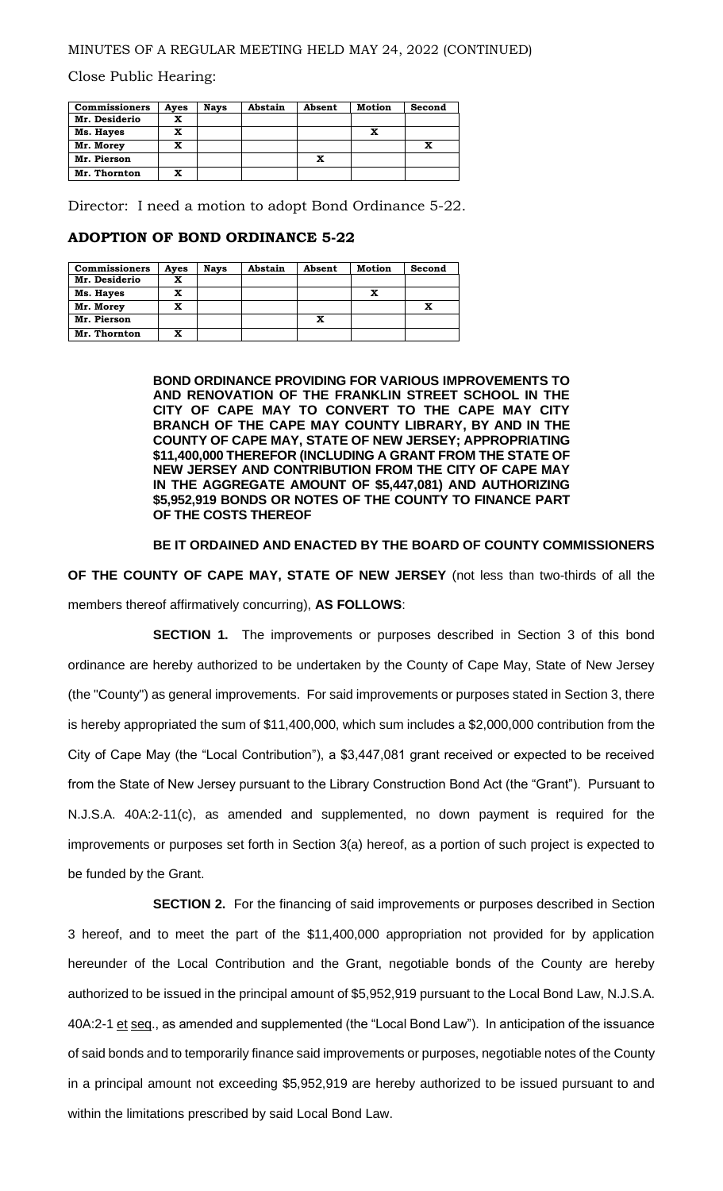Close Public Hearing:

| <b>Commissioners</b> | Ayes | <b>Nays</b> | Abstain | Absent | Motion | Second |
|----------------------|------|-------------|---------|--------|--------|--------|
| Mr. Desiderio        |      |             |         |        |        |        |
| Ms. Hayes            | x    |             |         |        |        |        |
| Mr. Morey            | x    |             |         |        |        |        |
| Mr. Pierson          |      |             |         | x      |        |        |
| Mr. Thornton         |      |             |         |        |        |        |

Director: I need a motion to adopt Bond Ordinance 5-22.

## **ADOPTION OF BOND ORDINANCE 5-22**

| <b>Commissioners</b> | Aves | <b>Nays</b> | Abstain | Absent | <b>Motion</b> | Second |
|----------------------|------|-------------|---------|--------|---------------|--------|
| Mr. Desiderio        |      |             |         |        |               |        |
| Ms. Hayes            |      |             |         |        |               |        |
| Mr. Morey            |      |             |         |        |               |        |
| Mr. Pierson          |      |             |         | x      |               |        |
| Mr. Thornton         |      |             |         |        |               |        |

**BOND ORDINANCE PROVIDING FOR VARIOUS IMPROVEMENTS TO AND RENOVATION OF THE FRANKLIN STREET SCHOOL IN THE CITY OF CAPE MAY TO CONVERT TO THE CAPE MAY CITY BRANCH OF THE CAPE MAY COUNTY LIBRARY, BY AND IN THE COUNTY OF CAPE MAY, STATE OF NEW JERSEY; APPROPRIATING \$11,400,000 THEREFOR (INCLUDING A GRANT FROM THE STATE OF NEW JERSEY AND CONTRIBUTION FROM THE CITY OF CAPE MAY IN THE AGGREGATE AMOUNT OF \$5,447,081) AND AUTHORIZING \$5,952,919 BONDS OR NOTES OF THE COUNTY TO FINANCE PART OF THE COSTS THEREOF**

**BE IT ORDAINED AND ENACTED BY THE BOARD OF COUNTY COMMISSIONERS OF THE COUNTY OF CAPE MAY, STATE OF NEW JERSEY** (not less than two-thirds of all the members thereof affirmatively concurring), **AS FOLLOWS**:

**SECTION 1.** The improvements or purposes described in Section 3 of this bond ordinance are hereby authorized to be undertaken by the County of Cape May, State of New Jersey (the "County") as general improvements. For said improvements or purposes stated in Section 3, there is hereby appropriated the sum of \$11,400,000, which sum includes a \$2,000,000 contribution from the City of Cape May (the "Local Contribution"), a \$3,447,081 grant received or expected to be received from the State of New Jersey pursuant to the Library Construction Bond Act (the "Grant"). Pursuant to N.J.S.A. 40A:2-11(c), as amended and supplemented, no down payment is required for the improvements or purposes set forth in Section 3(a) hereof, as a portion of such project is expected to be funded by the Grant.

**SECTION 2.** For the financing of said improvements or purposes described in Section 3 hereof, and to meet the part of the \$11,400,000 appropriation not provided for by application hereunder of the Local Contribution and the Grant, negotiable bonds of the County are hereby authorized to be issued in the principal amount of \$5,952,919 pursuant to the Local Bond Law, N.J.S.A. 40A:2-1 et seq., as amended and supplemented (the "Local Bond Law"). In anticipation of the issuance of said bonds and to temporarily finance said improvements or purposes, negotiable notes of the County in a principal amount not exceeding \$5,952,919 are hereby authorized to be issued pursuant to and within the limitations prescribed by said Local Bond Law.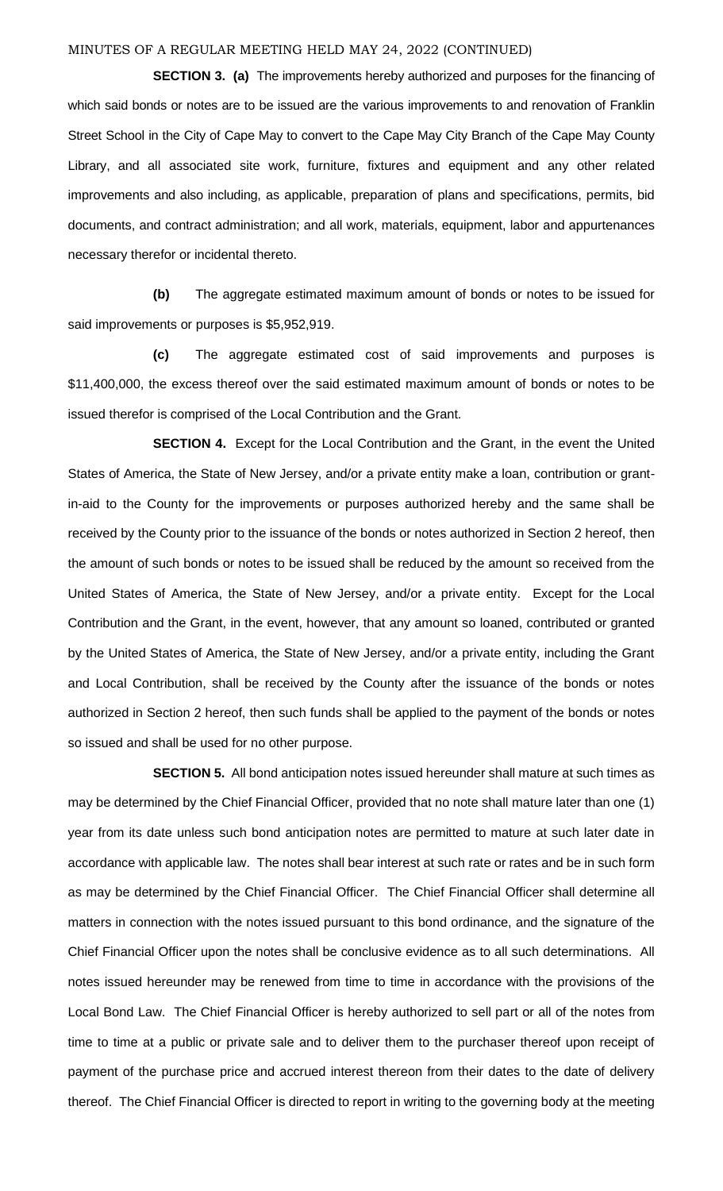**SECTION 3. (a)** The improvements hereby authorized and purposes for the financing of which said bonds or notes are to be issued are the various improvements to and renovation of Franklin Street School in the City of Cape May to convert to the Cape May City Branch of the Cape May County Library, and all associated site work, furniture, fixtures and equipment and any other related improvements and also including, as applicable, preparation of plans and specifications, permits, bid documents, and contract administration; and all work, materials, equipment, labor and appurtenances necessary therefor or incidental thereto.

**(b)** The aggregate estimated maximum amount of bonds or notes to be issued for said improvements or purposes is \$5,952,919.

**(c)** The aggregate estimated cost of said improvements and purposes is \$11,400,000, the excess thereof over the said estimated maximum amount of bonds or notes to be issued therefor is comprised of the Local Contribution and the Grant.

**SECTION 4.** Except for the Local Contribution and the Grant, in the event the United States of America, the State of New Jersey, and/or a private entity make a loan, contribution or grantin-aid to the County for the improvements or purposes authorized hereby and the same shall be received by the County prior to the issuance of the bonds or notes authorized in Section 2 hereof, then the amount of such bonds or notes to be issued shall be reduced by the amount so received from the United States of America, the State of New Jersey, and/or a private entity. Except for the Local Contribution and the Grant, in the event, however, that any amount so loaned, contributed or granted by the United States of America, the State of New Jersey, and/or a private entity, including the Grant and Local Contribution, shall be received by the County after the issuance of the bonds or notes authorized in Section 2 hereof, then such funds shall be applied to the payment of the bonds or notes so issued and shall be used for no other purpose.

**SECTION 5.** All bond anticipation notes issued hereunder shall mature at such times as may be determined by the Chief Financial Officer, provided that no note shall mature later than one (1) year from its date unless such bond anticipation notes are permitted to mature at such later date in accordance with applicable law. The notes shall bear interest at such rate or rates and be in such form as may be determined by the Chief Financial Officer. The Chief Financial Officer shall determine all matters in connection with the notes issued pursuant to this bond ordinance, and the signature of the Chief Financial Officer upon the notes shall be conclusive evidence as to all such determinations. All notes issued hereunder may be renewed from time to time in accordance with the provisions of the Local Bond Law. The Chief Financial Officer is hereby authorized to sell part or all of the notes from time to time at a public or private sale and to deliver them to the purchaser thereof upon receipt of payment of the purchase price and accrued interest thereon from their dates to the date of delivery thereof. The Chief Financial Officer is directed to report in writing to the governing body at the meeting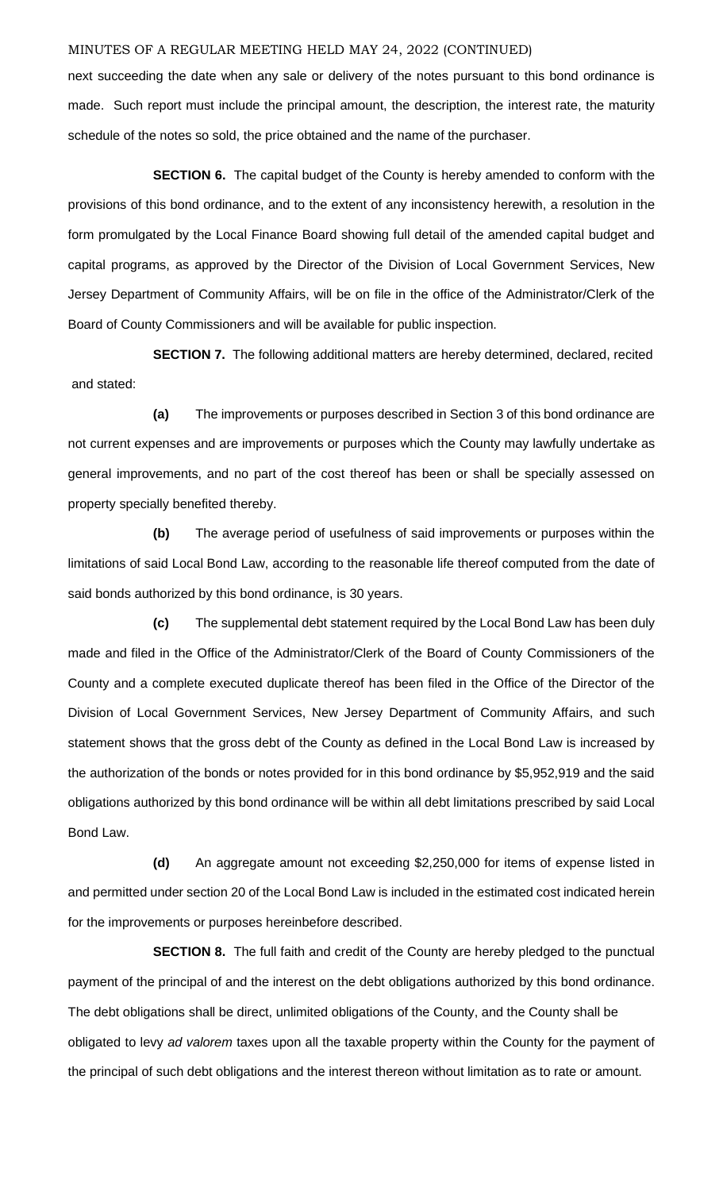next succeeding the date when any sale or delivery of the notes pursuant to this bond ordinance is made. Such report must include the principal amount, the description, the interest rate, the maturity schedule of the notes so sold, the price obtained and the name of the purchaser.

**SECTION 6.** The capital budget of the County is hereby amended to conform with the provisions of this bond ordinance, and to the extent of any inconsistency herewith, a resolution in the form promulgated by the Local Finance Board showing full detail of the amended capital budget and capital programs, as approved by the Director of the Division of Local Government Services, New Jersey Department of Community Affairs, will be on file in the office of the Administrator/Clerk of the Board of County Commissioners and will be available for public inspection.

**SECTION 7.** The following additional matters are hereby determined, declared, recited and stated:

**(a)** The improvements or purposes described in Section 3 of this bond ordinance are not current expenses and are improvements or purposes which the County may lawfully undertake as general improvements, and no part of the cost thereof has been or shall be specially assessed on property specially benefited thereby.

**(b)** The average period of usefulness of said improvements or purposes within the limitations of said Local Bond Law, according to the reasonable life thereof computed from the date of said bonds authorized by this bond ordinance, is 30 years.

**(c)** The supplemental debt statement required by the Local Bond Law has been duly made and filed in the Office of the Administrator/Clerk of the Board of County Commissioners of the County and a complete executed duplicate thereof has been filed in the Office of the Director of the Division of Local Government Services, New Jersey Department of Community Affairs, and such statement shows that the gross debt of the County as defined in the Local Bond Law is increased by the authorization of the bonds or notes provided for in this bond ordinance by \$5,952,919 and the said obligations authorized by this bond ordinance will be within all debt limitations prescribed by said Local Bond Law.

**(d)** An aggregate amount not exceeding \$2,250,000 for items of expense listed in and permitted under section 20 of the Local Bond Law is included in the estimated cost indicated herein for the improvements or purposes hereinbefore described.

**SECTION 8.** The full faith and credit of the County are hereby pledged to the punctual payment of the principal of and the interest on the debt obligations authorized by this bond ordinance. The debt obligations shall be direct, unlimited obligations of the County, and the County shall be obligated to levy *ad valorem* taxes upon all the taxable property within the County for the payment of the principal of such debt obligations and the interest thereon without limitation as to rate or amount.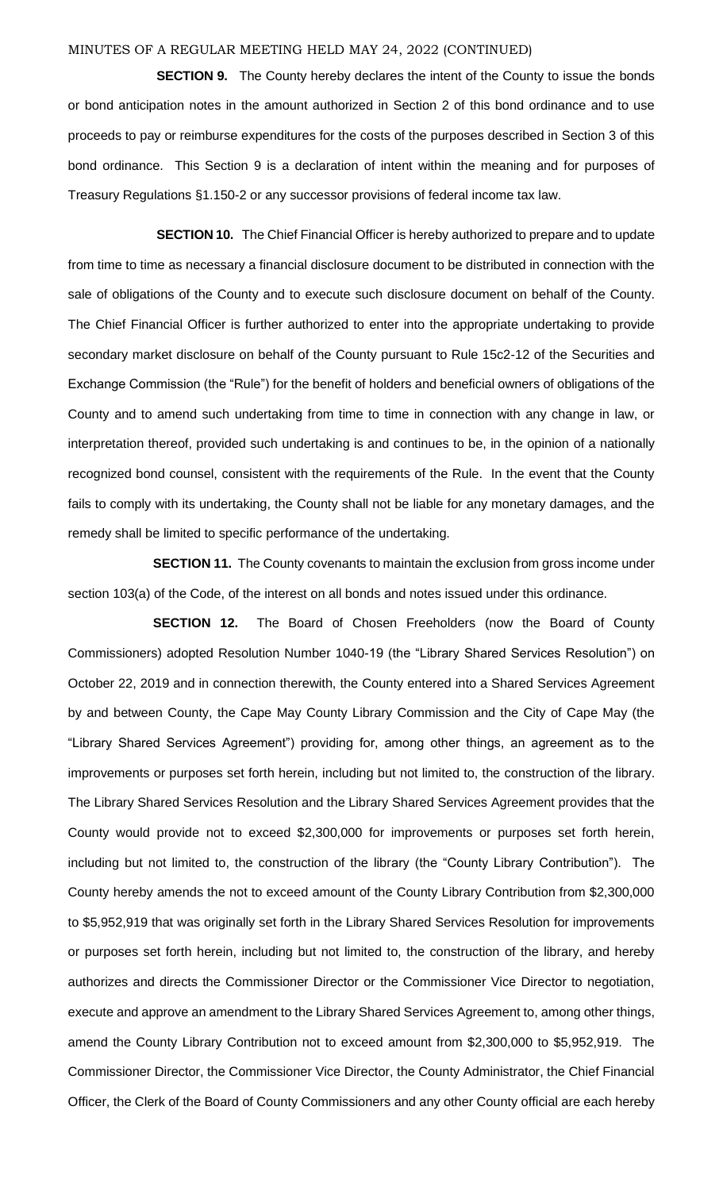**SECTION 9.** The County hereby declares the intent of the County to issue the bonds or bond anticipation notes in the amount authorized in Section 2 of this bond ordinance and to use proceeds to pay or reimburse expenditures for the costs of the purposes described in Section 3 of this bond ordinance. This Section 9 is a declaration of intent within the meaning and for purposes of Treasury Regulations §1.150-2 or any successor provisions of federal income tax law.

**SECTION 10.** The Chief Financial Officer is hereby authorized to prepare and to update from time to time as necessary a financial disclosure document to be distributed in connection with the sale of obligations of the County and to execute such disclosure document on behalf of the County. The Chief Financial Officer is further authorized to enter into the appropriate undertaking to provide secondary market disclosure on behalf of the County pursuant to Rule 15c2-12 of the Securities and Exchange Commission (the "Rule") for the benefit of holders and beneficial owners of obligations of the County and to amend such undertaking from time to time in connection with any change in law, or interpretation thereof, provided such undertaking is and continues to be, in the opinion of a nationally recognized bond counsel, consistent with the requirements of the Rule. In the event that the County fails to comply with its undertaking, the County shall not be liable for any monetary damages, and the remedy shall be limited to specific performance of the undertaking.

**SECTION 11.** The County covenants to maintain the exclusion from gross income under section 103(a) of the Code, of the interest on all bonds and notes issued under this ordinance.

**SECTION 12.** The Board of Chosen Freeholders (now the Board of County Commissioners) adopted Resolution Number 1040-19 (the "Library Shared Services Resolution") on October 22, 2019 and in connection therewith, the County entered into a Shared Services Agreement by and between County, the Cape May County Library Commission and the City of Cape May (the "Library Shared Services Agreement") providing for, among other things, an agreement as to the improvements or purposes set forth herein, including but not limited to, the construction of the library. The Library Shared Services Resolution and the Library Shared Services Agreement provides that the County would provide not to exceed \$2,300,000 for improvements or purposes set forth herein, including but not limited to, the construction of the library (the "County Library Contribution"). The County hereby amends the not to exceed amount of the County Library Contribution from \$2,300,000 to \$5,952,919 that was originally set forth in the Library Shared Services Resolution for improvements or purposes set forth herein, including but not limited to, the construction of the library, and hereby authorizes and directs the Commissioner Director or the Commissioner Vice Director to negotiation, execute and approve an amendment to the Library Shared Services Agreement to, among other things, amend the County Library Contribution not to exceed amount from \$2,300,000 to \$5,952,919. The Commissioner Director, the Commissioner Vice Director, the County Administrator, the Chief Financial Officer, the Clerk of the Board of County Commissioners and any other County official are each hereby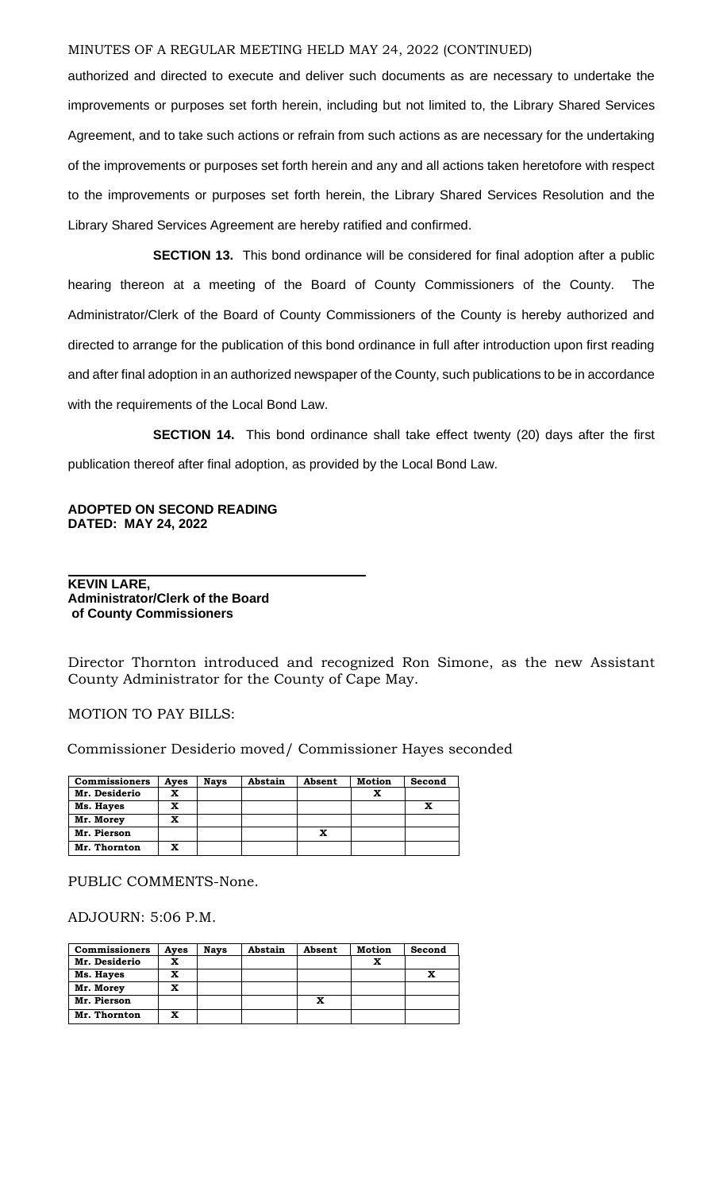authorized and directed to execute and deliver such documents as are necessary to undertake the improvements or purposes set forth herein, including but not limited to, the Library Shared Services Agreement, and to take such actions or refrain from such actions as are necessary for the undertaking of the improvements or purposes set forth herein and any and all actions taken heretofore with respect to the improvements or purposes set forth herein, the Library Shared Services Resolution and the Library Shared Services Agreement are hereby ratified and confirmed.

**SECTION 13.** This bond ordinance will be considered for final adoption after a public hearing thereon at a meeting of the Board of County Commissioners of the County. The Administrator/Clerk of the Board of County Commissioners of the County is hereby authorized and directed to arrange for the publication of this bond ordinance in full after introduction upon first reading and after final adoption in an authorized newspaper of the County, such publications to be in accordance with the requirements of the Local Bond Law.

**SECTION 14.** This bond ordinance shall take effect twenty (20) days after the first publication thereof after final adoption, as provided by the Local Bond Law.

**ADOPTED ON SECOND READING DATED: MAY 24, 2022**

**KEVIN LARE, Administrator/Clerk of the Board of County Commissioners**

Director Thornton introduced and recognized Ron Simone, as the new Assistant County Administrator for the County of Cape May.

#### MOTION TO PAY BILLS:

Commissioner Desiderio moved/ Commissioner Hayes seconded

| <b>Commissioners</b> | Aves | <b>Nays</b> | Abstain | Absent | Motion | Second |
|----------------------|------|-------------|---------|--------|--------|--------|
| Mr. Desiderio        | x    |             |         |        |        |        |
| Ms. Hayes            | x    |             |         |        |        | x      |
| Mr. Morey            | x    |             |         |        |        |        |
| Mr. Pierson          |      |             |         | x      |        |        |
| Mr. Thornton         | x    |             |         |        |        |        |

PUBLIC COMMENTS-None.

ADJOURN: 5:06 P.M.

| <b>Commissioners</b> | Ayes | <b>Nays</b> | Abstain | Absent | <b>Motion</b> | Second |
|----------------------|------|-------------|---------|--------|---------------|--------|
| Mr. Desiderio        | x    |             |         |        |               |        |
| Ms. Hayes            | x    |             |         |        |               | Y      |
| Mr. Morey            | x    |             |         |        |               |        |
| Mr. Pierson          |      |             |         | x      |               |        |
| Mr. Thornton         | x    |             |         |        |               |        |